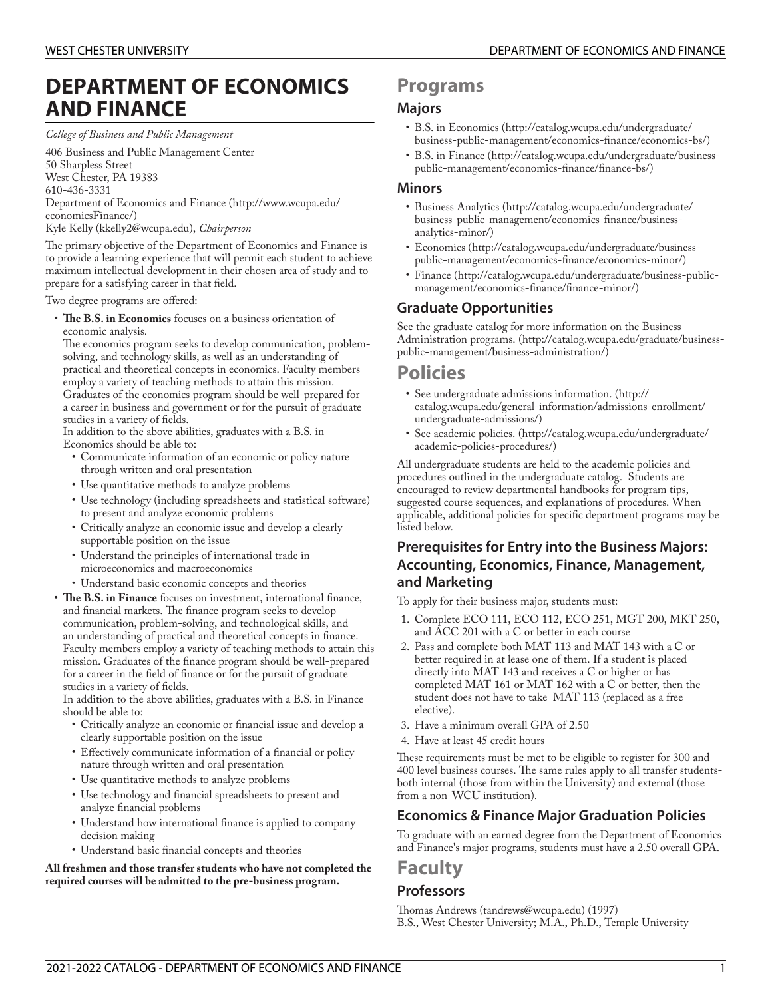# **DEPARTMENT OF ECONOMICS AND FINANCE**

*College of Business and Public Management*

406 Business and Public Management Center 50 Sharpless Street West Chester, PA 19383 610-436-3331 [Department](http://www.wcupa.edu/economicsFinance/) of Economics and Finance [\(http://www.wcupa.edu/](http://www.wcupa.edu/economicsFinance/) [economicsFinance/\)](http://www.wcupa.edu/economicsFinance/) Kyle [Kelly](mailto:kkelly2@wcupa.edu) (<kkelly2@wcupa.edu>), *Chairperson*

The primary objective of the Department of Economics and Finance is to provide a learning experience that will permit each student to achieve maximum intellectual development in their chosen area of study and to prepare for a satisfying career in that field.

Two degree programs are offered:

• The B.S. in Economics focuses on a business orientation of economic analysis.

The economics program seeks to develop communication, problemsolving, and technology skills, as well as an understanding of practical and theoretical concepts in economics. Faculty members employ a variety of teaching methods to attain this mission. Graduates of the economics program should be well-prepared for a career in business and government or for the pursuit of graduate studies in a variety of fields.

In addition to the above abilities, graduates with a B.S. in Economics should be able to:

- Communicate information of an economic or policy nature through written and oral presentation
- Use quantitative methods to analyze problems
- Use technology (including spreadsheets and statistical software) to present and analyze economic problems
- Critically analyze an economic issue and develop a clearly supportable position on the issue
- Understand the principles of international trade in microeconomics and macroeconomics
- Understand basic economic concepts and theories
- The B.S. in Finance focuses on investment, international finance, and financial markets. The finance program seeks to develop communication, problem-solving, and technological skills, and an understanding of practical and theoretical concepts in finance. Faculty members employ a variety of teaching methods to attain this mission. Graduates of the finance program should be well-prepared for a career in the field of finance or for the pursuit of graduate studies in a variety of fields.

In addition to the above abilities, graduates with a B.S. in Finance should be able to:

- Critically analyze an economic or financial issue and develop a clearly supportable position on the issue
- Effectively communicate information of a financial or policy nature through written and oral presentation
- Use quantitative methods to analyze problems
- Use technology and financial spreadsheets to present and analyze financial problems
- Understand how international finance is applied to company decision making
- Understand basic financial concepts and theories

**All freshmen and those transfer students who have not completed the required courses will be admitted to the pre-business program.**

# **Programs**

# **Majors**

- B.S. in [Economics \(http://catalog.wcupa.edu/undergraduate/](http://catalog.wcupa.edu/undergraduate/business-public-management/economics-finance/economics-bs/) business-public-management/economics-finance/economics-bs/)
- B.S. in [Finance](http://catalog.wcupa.edu/undergraduate/business-public-management/economics-finance/finance-bs/) ([http://catalog.wcupa.edu/undergraduate/business](http://catalog.wcupa.edu/undergraduate/business-public-management/economics-finance/finance-bs/)public-management/economics-finance/finance-bs/)

# **Minors**

- Business [Analytics](http://catalog.wcupa.edu/undergraduate/business-public-management/economics-finance/business-analytics-minor/) ([http://catalog.wcupa.edu/undergraduate/](http://catalog.wcupa.edu/undergraduate/business-public-management/economics-finance/business-analytics-minor/) business-public-management/economics-finance/business[analytics-minor/\)](http://catalog.wcupa.edu/undergraduate/business-public-management/economics-finance/business-analytics-minor/)
- [Economics](http://catalog.wcupa.edu/undergraduate/business-public-management/economics-finance/economics-minor/) [\(http://catalog.wcupa.edu/undergraduate/business](http://catalog.wcupa.edu/undergraduate/business-public-management/economics-finance/economics-minor/)[public-management/economics-nance/economics-minor/](http://catalog.wcupa.edu/undergraduate/business-public-management/economics-finance/economics-minor/))
- [Finance \(http://catalog.wcupa.edu/undergraduate/business-public](http://catalog.wcupa.edu/undergraduate/business-public-management/economics-finance/finance-minor/)management/economics-finance/finance-minor/)

# **Graduate Opportunities**

See the graduate catalog for more [information](http://catalog.wcupa.edu/graduate/business-public-management/business-administration/) on the Business [Administration](http://catalog.wcupa.edu/graduate/business-public-management/business-administration/) programs. [\(http://catalog.wcupa.edu/graduate/business](http://catalog.wcupa.edu/graduate/business-public-management/business-administration/)[public-management/business-administration/\)](http://catalog.wcupa.edu/graduate/business-public-management/business-administration/)

# **Policies**

- See [undergraduate](http://catalog.wcupa.edu/general-information/admissions-enrollment/undergraduate-admissions/) admissions information. ([http://](http://catalog.wcupa.edu/general-information/admissions-enrollment/undergraduate-admissions/) [catalog.wcupa.edu/general-information/admissions-enrollment/](http://catalog.wcupa.edu/general-information/admissions-enrollment/undergraduate-admissions/) [undergraduate-admissions/](http://catalog.wcupa.edu/general-information/admissions-enrollment/undergraduate-admissions/))
- See [academic](http://catalog.wcupa.edu/undergraduate/academic-policies-procedures/) policies. [\(http://catalog.wcupa.edu/undergraduate/](http://catalog.wcupa.edu/undergraduate/academic-policies-procedures/) [academic-policies-procedures/\)](http://catalog.wcupa.edu/undergraduate/academic-policies-procedures/)

All undergraduate students are held to the academic policies and procedures outlined in the undergraduate catalog. Students are encouraged to review departmental handbooks for program tips, suggested course sequences, and explanations of procedures. When applicable, additional policies for specific department programs may be listed below.

# **Prerequisites for Entry into the Business Majors: Accounting, Economics, Finance, Management, and Marketing**

To apply for their business major, students must:

- 1. Complete ECO 111, ECO 112, ECO 251, MGT 200, MKT 250, and ACC 201 with a C or better in each course
- 2. Pass and complete both MAT 113 and MAT 143 with a C or better required in at lease one of them. If a student is placed directly into MAT 143 and receives a C or higher or has completed MAT 161 or MAT 162 with a C or better, then the student does not have to take MAT 113 (replaced as a free elective).
- 3. Have a minimum overall GPA of 2.50
- 4. Have at least 45 credit hours

These requirements must be met to be eligible to register for 300 and 400 level business courses. The same rules apply to all transfer studentsboth internal (those from within the University) and external (those from a non-WCU institution).

# **Economics & Finance Major Graduation Policies**

To graduate with an earned degree from the Department of Economics and Finance's major programs, students must have a 2.50 overall GPA.

# **Faculty**

# **Professors**

Thomas [Andrews](mailto:tandrews@wcupa.edu) [\(tandrews@wcupa.edu](tandrews@wcupa.edu)) (1997) B.S., West Chester University; M.A., Ph.D., Temple University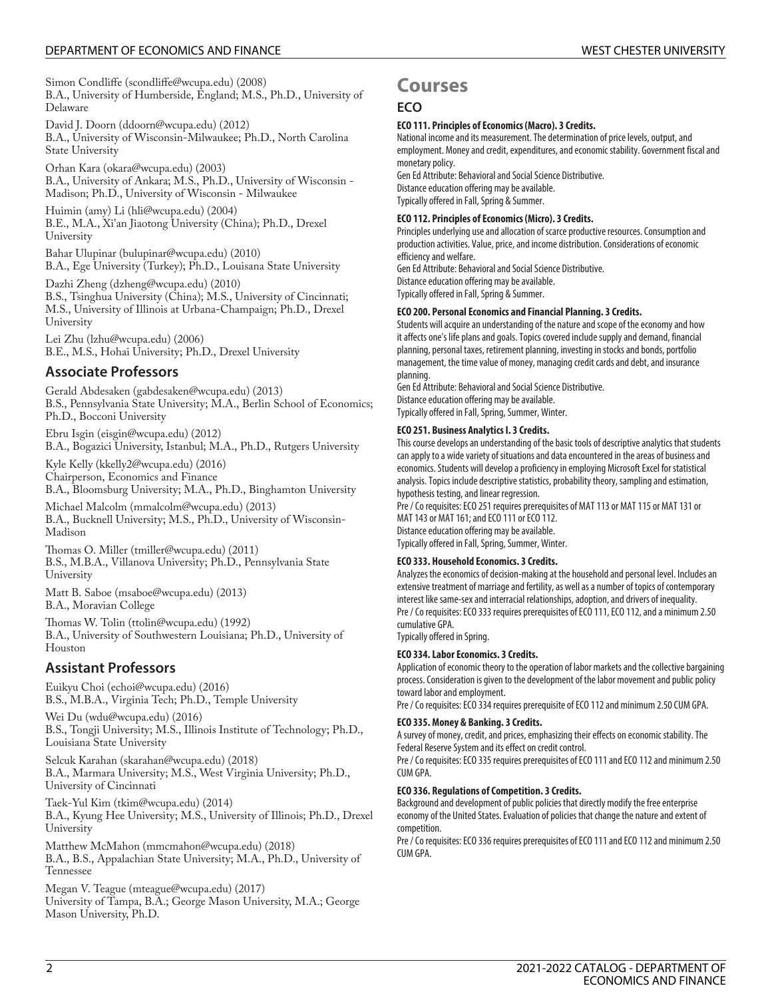# DEPARTMENT OF ECONOMICS AND FINANCE WESTER UNIVERSITY

Simon [Condliffe](mailto:scondliffe@wcupa.edu) [\(scondliffe@wcupa.edu](scondliffe@wcupa.edu)) (2008) B.A., University of Humberside, England; M.S., Ph.D., University of Delaware

David J. [Doorn](mailto:ddoorn@wcupa.edu) [\(ddoorn@wcupa.edu\)](ddoorn@wcupa.edu) (2012) B.A., University of Wisconsin-Milwaukee; Ph.D., North Carolina State University

[Orhan](mailto:okara@wcupa.edu) Kara ([okara@wcupa.edu\)](okara@wcupa.edu) (2003) B.A., University of Ankara; M.S., Ph.D., University of Wisconsin - Madison; Ph.D., University of Wisconsin - Milwaukee

[Huimin \(amy\) Li](mailto:hli@wcupa.edu) [\(hli@wcupa.edu](hli@wcupa.edu)) (2004) B.E., M.A., Xi'an Jiaotong University (China); Ph.D., Drexel University

Bahar [Ulupinar](mailto:bulupinar@wcupa.edu) (<bulupinar@wcupa.edu>) (2010) B.A., Ege University (Turkey); Ph.D., Louisana State University

[Dazhi Zheng](mailto:dzheng@wcupa.edu) [\(dzheng@wcupa.edu\)](dzheng@wcupa.edu) (2010) B.S., Tsinghua University (China); M.S., University of Cincinnati; M.S., University of Illinois at Urbana-Champaign; Ph.D., Drexel University

Lei [Zhu](mailto:lzhu@wcupa.edu) ([lzhu@wcupa.edu\)](lzhu@wcupa.edu) (2006) B.E., M.S., Hohai University; Ph.D., Drexel University

# **Associate Professors**

Gerald [Abdesaken](mailto:gabdesaken@wcupa.edu) (<gabdesaken@wcupa.edu>) (2013) B.S., Pennsylvania State University; M.A., Berlin School of Economics; Ph.D., Bocconi University

[Ebru](mailto:eisgin@wcupa.edu) Isgin [\(eisgin@wcupa.edu](eisgin@wcupa.edu)) (2012) B.A., Bogazici University, Istanbul; M.A., Ph.D., Rutgers University

Kyle [Kelly](mailto:kkelly2@wcupa.edu) (<kkelly2@wcupa.edu>) (2016) Chairperson, Economics and Finance

B.A., Bloomsburg University; M.A., Ph.D., Binghamton University

Michael [Malcolm](mailto:mmalcolm@wcupa.edu) [\(mmalcolm@wcupa.edu\)](mmalcolm@wcupa.edu) (2013) B.A., Bucknell University; M.S., Ph.D., University of Wisconsin-Madison

Th[omas](mailto:tmiller@wcupa.edu) O. Miller ([tmiller@wcupa.edu\)](tmiller@wcupa.edu) (2011) B.S., M.B.A., Villanova University; Ph.D., Pennsylvania State University

Matt B. [Saboe](mailto:msaboe@wcupa.edu) (<msaboe@wcupa.edu>) (2013) B.A., Moravian College

Th[omas](mailto:ttolin@wcupa.edu) W. Tolin ([ttolin@wcupa.edu\)](ttolin@wcupa.edu) (1992) B.A., University of Southwestern Louisiana; Ph.D., University of Houston

# **Assistant Professors**

[Euikyu Choi](mailto:echoi@wcupa.edu) [\(echoi@wcupa.edu\)](echoi@wcupa.edu) (2016) B.S., M.B.A., Virginia Tech; Ph.D., Temple University

[Wei](mailto:wdu@wcupa.edu) Du (<wdu@wcupa.edu>) (2016) B.S., Tongji University; M.S., Illinois Institute of Technology; Ph.D., Louisiana State University

Selcuk [Karahan](mailto:skarahan@wcupa.edu) [\(skarahan@wcupa.edu](skarahan@wcupa.edu)) (2018) B.A., Marmara University; M.S., West Virginia University; Ph.D., University of Cincinnati

[Taek-Yul](mailto:tkim@wcupa.edu) Kim [\(tkim@wcupa.edu](tkim@wcupa.edu)) (2014) B.A., Kyung Hee University; M.S., University of Illinois; Ph.D., Drexel University

Matthew [McMahon](mailto:mmcmahon@wcupa.edu) [\(mmcmahon@wcupa.edu\)](mmcmahon@wcupa.edu) (2018) B.A., B.S., Appalachian State University; M.A., Ph.D., University of Tennessee

Megan V. [Teague](mailto:mteague@wcupa.edu) [\(mteague@wcupa.edu](mteague@wcupa.edu)) (2017) University of Tampa, B.A.; George Mason University, M.A.; George Mason University, Ph.D.

# **Courses**

# **ECO**

# **ECO 111. Principles of Economics (Macro). 3 Credits.**

National income and its measurement. The determination of price levels, output, and employment. Money and credit, expenditures, and economic stability. Government fiscal and monetary policy.

Gen Ed Attribute: Behavioral and Social Science Distributive. Distance education offering may be available. Typically offered in Fall, Spring & Summer.

# **ECO 112. Principles of Economics (Micro). 3 Credits.**

Principles underlying use and allocation of scarce productive resources. Consumption and production activities. Value, price, and income distribution. Considerations of economic efficiency and welfare.

Gen Ed Attribute: Behavioral and Social Science Distributive. Distance education offering may be available. Typically offered in Fall, Spring & Summer.

# **ECO 200. Personal Economics and Financial Planning. 3 Credits.**

Students will acquire an understanding of the nature and scope of the economy and how it affects one's life plans and goals. Topics covered include supply and demand, financial planning, personal taxes, retirement planning, investing in stocks and bonds, portfolio management, the time value of money, managing credit cards and debt, and insurance planning.

Gen Ed Attribute: Behavioral and Social Science Distributive. Distance education offering may be available.

Typically offered in Fall, Spring, Summer, Winter.

# **ECO 251. Business Analytics I. 3 Credits.**

This course develops an understanding of the basic tools of descriptive analytics that students can apply to a wide variety of situations and data encountered in the areas of business and economics. Students will develop a proficiency in employing Microsoft Excel for statistical analysis. Topics include descriptive statistics, probability theory, sampling and estimation, hypothesis testing, and linear regression.

Pre / Co requisites: ECO 251 requires prerequisites of MAT 113 or MAT 115 or MAT 131 or MAT 143 or MAT 161; and ECO 111 or ECO 112. Distance education offering may be available. Typically offered in Fall, Spring, Summer, Winter.

# **ECO 333. Household Economics. 3 Credits.**

Analyzes the economics of decision-making at the household and personal level. Includes an extensive treatment of marriage and fertility, as well as a number of topics of contemporary interest like same-sex and interracial relationships, adoption, and drivers of inequality. Pre / Co requisites: ECO 333 requires prerequisites of ECO 111, ECO 112, and a minimum 2.50 cumulative GPA.

Typically offered in Spring.

# **ECO 334. Labor Economics. 3 Credits.**

Application of economic theory to the operation of labor markets and the collective bargaining process. Consideration is given to the development of the labor movement and public policy toward labor and employment.

Pre / Co requisites: ECO 334 requires prerequisite of ECO 112 and minimum 2.50 CUM GPA.

# **ECO 335. Money & Banking. 3 Credits.**

A survey of money, credit, and prices, emphasizing their effects on economic stability. The Federal Reserve System and its effect on credit control.

Pre / Co requisites: ECO 335 requires prerequisites of ECO 111 and ECO 112 and minimum 2.50 CUM GPA.

# **ECO 336. Regulations of Competition. 3 Credits.**

Background and development of public policies that directly modify the free enterprise economy of the United States. Evaluation of policies that change the nature and extent of competition.

Pre / Co requisites: ECO 336 requires prerequisites of ECO 111 and ECO 112 and minimum 2.50 CUM GPA.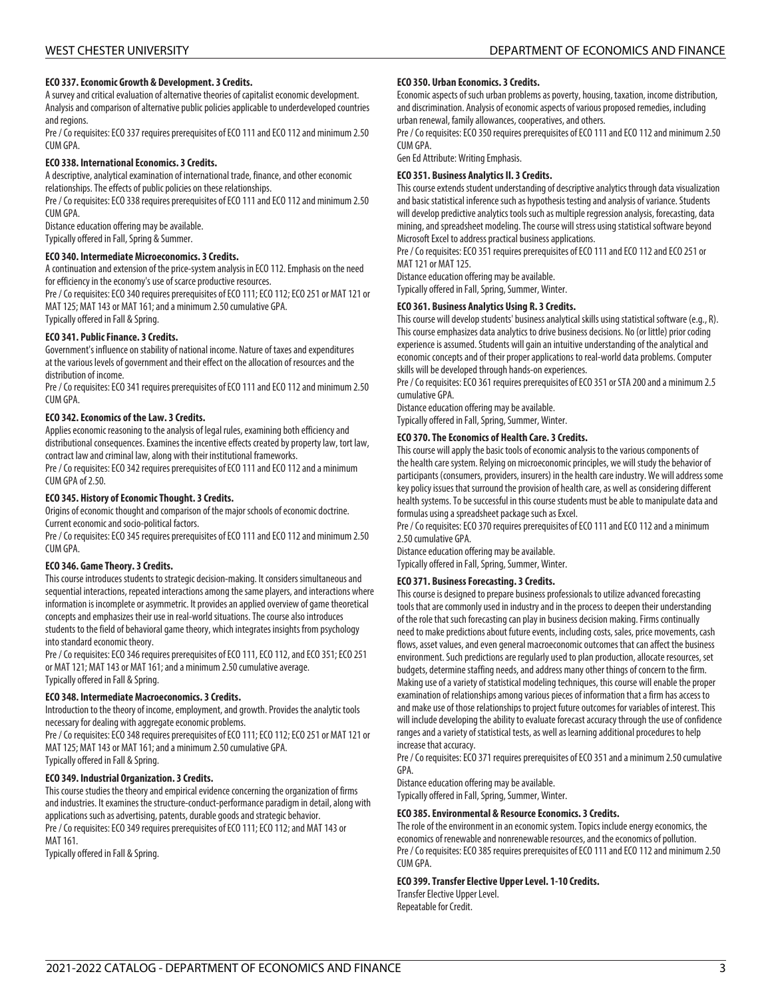## **ECO 337. Economic Growth & Development. 3 Credits.**

A survey and critical evaluation of alternative theories of capitalist economic development. Analysis and comparison of alternative public policies applicable to underdeveloped countries and regions.

Pre / Co requisites: ECO 337 requires prerequisites of ECO 111 and ECO 112 and minimum 2.50 CUM GPA.

### **ECO 338. International Economics. 3 Credits.**

A descriptive, analytical examination of international trade, finance, and other economic relationships. The effects of public policies on these relationships.

Pre / Co requisites: ECO 338 requires prerequisites of ECO 111 and ECO 112 and minimum 2.50 CUM GPA.

Distance education offering may be available.

Typically offered in Fall, Spring & Summer.

### **ECO 340. Intermediate Microeconomics. 3 Credits.**

A continuation and extension of the price-system analysis in ECO 112. Emphasis on the need for efficiency in the economy's use of scarce productive resources.

Pre / Co requisites: ECO 340 requires prerequisites of ECO 111; ECO 112; ECO 251 or MAT 121 or MAT 125; MAT 143 or MAT 161; and a minimum 2.50 cumulative GPA. Typically offered in Fall & Spring.

### **ECO 341. Public Finance. 3 Credits.**

Government's influence on stability of national income. Nature of taxes and expenditures at the various levels of government and their effect on the allocation of resources and the distribution of income.

Pre / Co requisites: ECO 341 requires prerequisites of ECO 111 and ECO 112 and minimum 2.50 CUM GPA.

### **ECO 342. Economics of the Law. 3 Credits.**

Applies economic reasoning to the analysis of legal rules, examining both efficiency and distributional consequences. Examines the incentive effects created by property law, tort law, contract law and criminal law, along with their institutional frameworks.

Pre / Co requisites: ECO 342 requires prerequisites of ECO 111 and ECO 112 and a minimum CUM GPA of 2.50.

### **ECO 345. History of Economic Thought. 3 Credits.**

Origins of economic thought and comparison of the major schools of economic doctrine. Current economic and socio-political factors.

Pre / Co requisites: ECO 345 requires prerequisites of ECO 111 and ECO 112 and minimum 2.50 CUM GPA.

### **ECO 346. Game Theory. 3 Credits.**

This course introduces students to strategic decision-making. It considers simultaneous and sequential interactions, repeated interactions among the same players, and interactions where information is incomplete or asymmetric. It provides an applied overview of game theoretical concepts and emphasizes their use in real-world situations. The course also introduces students to the field of behavioral game theory, which integrates insights from psychology into standard economic theory.

Pre / Co requisites: ECO 346 requires prerequisites of ECO 111, ECO 112, and ECO 351; ECO 251 or MAT 121; MAT 143 or MAT 161; and a minimum 2.50 cumulative average. Typically offered in Fall & Spring.

### **ECO 348. Intermediate Macroeconomics. 3 Credits.**

Introduction to the theory of income, employment, and growth. Provides the analytic tools necessary for dealing with aggregate economic problems.

Pre / Co requisites: ECO 348 requires prerequisites of ECO 111; ECO 112; ECO 251 or MAT 121 or MAT 125; MAT 143 or MAT 161; and a minimum 2.50 cumulative GPA. Typically offered in Fall & Spring.

# **ECO 349. Industrial Organization. 3 Credits.**

This course studies the theory and empirical evidence concerning the organization of firms and industries. It examines the structure-conduct-performance paradigm in detail, along with applications such as advertising, patents, durable goods and strategic behavior. Pre / Co requisites: ECO 349 requires prerequisites of ECO 111; ECO 112; and MAT 143 or MAT 161.

Typically offered in Fall & Spring.

### **ECO 350. Urban Economics. 3 Credits.**

Economic aspects of such urban problems as poverty, housing, taxation, income distribution, and discrimination. Analysis of economic aspects of various proposed remedies, including urban renewal, family allowances, cooperatives, and others.

Pre / Co requisites: ECO 350 requires prerequisites of ECO 111 and ECO 112 and minimum 2.50 CUM GPA.

Gen Ed Attribute: Writing Emphasis.

### **ECO 351. Business Analytics II. 3 Credits.**

This course extends student understanding of descriptive analytics through data visualization and basic statistical inference such as hypothesis testing and analysis of variance. Students will develop predictive analytics tools such as multiple regression analysis, forecasting, data mining, and spreadsheet modeling. The course will stress using statistical software beyond Microsoft Excel to address practical business applications.

Pre / Co requisites: ECO 351 requires prerequisites of ECO 111 and ECO 112 and ECO 251 or MAT 121 or MAT 125.

Distance education offering may be available.

Typically offered in Fall, Spring, Summer, Winter.

# **ECO 361. Business Analytics Using R. 3 Credits.**

This course will develop students' business analytical skills using statistical software (e.g., R). This course emphasizes data analytics to drive business decisions. No (or little) prior coding experience is assumed. Students will gain an intuitive understanding of the analytical and economic concepts and of their proper applications to real-world data problems. Computer skills will be developed through hands-on experiences.

Pre / Co requisites: ECO 361 requires prerequisites of ECO 351 or STA 200 and a minimum 2.5 cumulative GPA.

Distance education offering may be available.

Typically offered in Fall, Spring, Summer, Winter.

### **ECO 370. The Economics of Health Care. 3 Credits.**

This course will apply the basic tools of economic analysis to the various components of the health care system. Relying on microeconomic principles, we will study the behavior of participants (consumers, providers, insurers) in the health care industry. We will address some key policy issues that surround the provision of health care, as well as considering different health systems. To be successful in this course students must be able to manipulate data and formulas using a spreadsheet package such as Excel.

Pre / Co requisites: ECO 370 requires prerequisites of ECO 111 and ECO 112 and a minimum 2.50 cumulative GPA.

Distance education offering may be available.

Typically offered in Fall, Spring, Summer, Winter.

### **ECO 371. Business Forecasting. 3 Credits.**

This course is designed to prepare business professionals to utilize advanced forecasting tools that are commonly used in industry and in the process to deepen their understanding of the role that such forecasting can play in business decision making. Firms continually need to make predictions about future events, including costs, sales, price movements, cash flows, asset values, and even general macroeconomic outcomes that can affect the business environment. Such predictions are regularly used to plan production, allocate resources, set budgets, determine staffing needs, and address many other things of concern to the firm. Making use of a variety of statistical modeling techniques, this course will enable the proper examination of relationships among various pieces of information that a firm has access to and make use of those relationships to project future outcomes for variables of interest. This will include developing the ability to evaluate forecast accuracy through the use of confidence ranges and a variety of statistical tests, as well as learning additional procedures to help increase that accuracy.

Pre / Co requisites: ECO 371 requires prerequisites of ECO 351 and a minimum 2.50 cumulative GPA.

Distance education offering may be available.

Typically offered in Fall, Spring, Summer, Winter.

### **ECO 385. Environmental & Resource Economics. 3 Credits.**

The role of the environment in an economic system. Topics include energy economics, the economics of renewable and nonrenewable resources, and the economics of pollution. Pre / Co requisites: ECO 385 requires prerequisites of ECO 111 and ECO 112 and minimum 2.50 CUM GPA.

### **ECO 399. Transfer Elective Upper Level. 1-10 Credits.**

Transfer Elective Upper Level. Repeatable for Credit.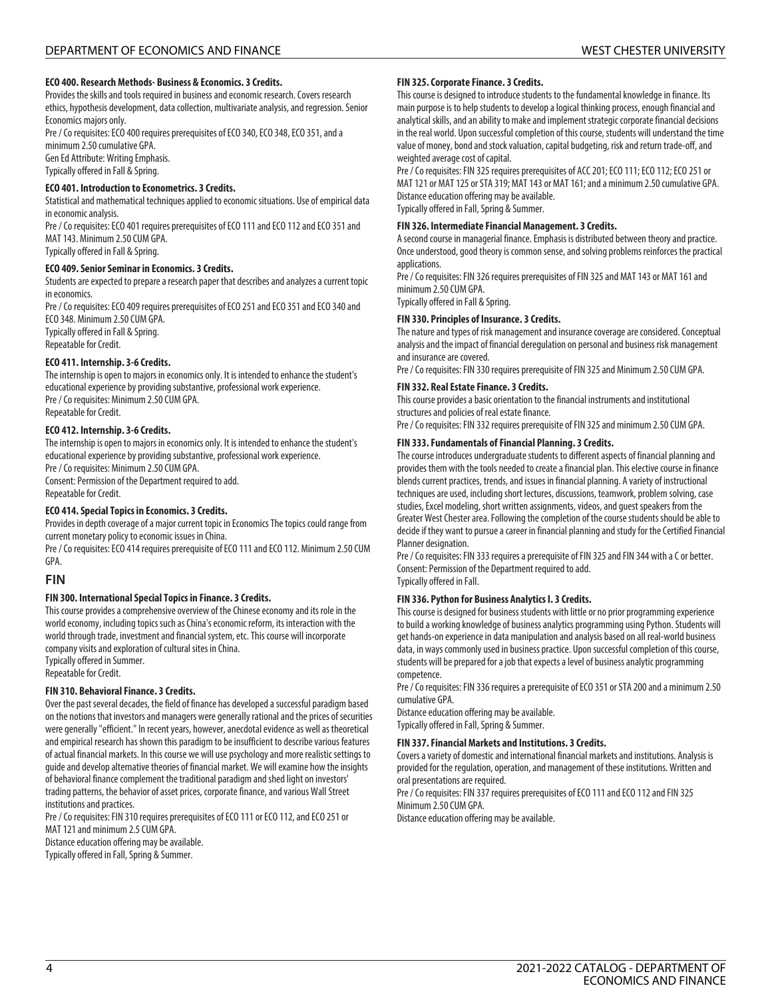# **ECO 400. Research Methods- Business & Economics. 3 Credits.**

Provides the skills and tools required in business and economic research. Covers research ethics, hypothesis development, data collection, multivariate analysis, and regression. Senior Economics majors only.

Pre / Co requisites: ECO 400 requires prerequisites of ECO 340, ECO 348, ECO 351, and a minimum 2.50 cumulative GPA. Gen Ed Attribute: Writing Emphasis.

Typically offered in Fall & Spring.

### **ECO 401. Introduction to Econometrics. 3 Credits.**

Statistical and mathematical techniques applied to economic situations. Use of empirical data in economic analysis.

Pre / Co requisites: ECO 401 requires prerequisites of ECO 111 and ECO 112 and ECO 351 and MAT 143. Minimum 2.50 CUM GPA.

Typically offered in Fall & Spring.

### **ECO 409. Senior Seminar in Economics. 3 Credits.**

Students are expected to prepare a research paper that describes and analyzes a current topic in economics.

Pre / Co requisites: ECO 409 requires prerequisites of ECO 251 and ECO 351 and ECO 340 and ECO 348. Minimum 2.50 CUM GPA. Typically offered in Fall & Spring.

Repeatable for Credit.

# **ECO 411. Internship. 3-6 Credits.**

The internship is open to majors in economics only. It is intended to enhance the student's educational experience by providing substantive, professional work experience. Pre / Co requisites: Minimum 2.50 CUM GPA.

Repeatable for Credit.

# **ECO 412. Internship. 3-6 Credits.**

The internship is open to majors in economics only. It is intended to enhance the student's educational experience by providing substantive, professional work experience. Pre / Co requisites: Minimum 2.50 CUM GPA.

Consent: Permission of the Department required to add. Repeatable for Credit.

# **ECO 414. Special Topics in Economics. 3 Credits.**

Provides in depth coverage of a major current topic in Economics The topics could range from current monetary policy to economic issues in China.

Pre / Co requisites: ECO 414 requires prerequisite of ECO 111 and ECO 112. Minimum 2.50 CUM GPA.

# **FIN**

### **FIN 300. International Special Topics in Finance. 3 Credits.**

This course provides a comprehensive overview of the Chinese economy and its role in the world economy, including topics such as China's economic reform, its interaction with the world through trade, investment and financial system, etc. This course will incorporate company visits and exploration of cultural sites in China. Typically offered in Summer.

Repeatable for Credit.

### **FIN 310. Behavioral Finance. 3 Credits.**

Over the past several decades, the field of finance has developed a successful paradigm based on the notions that investors and managers were generally rational and the prices of securities were generally "efficient." In recent years, however, anecdotal evidence as well as theoretical and empirical research has shown this paradigm to be insufficient to describe various features of actual financial markets. In this course we will use psychology and more realistic settings to guide and develop alternative theories of financial market. We will examine how the insights of behavioral finance complement the traditional paradigm and shed light on investors' trading patterns, the behavior of asset prices, corporate finance, and various Wall Street institutions and practices.

Pre / Co requisites: FIN 310 requires prerequisites of ECO 111 or ECO 112, and ECO 251 or MAT 121 and minimum 2.5 CUM GPA.

Distance education offering may be available.

Typically offered in Fall, Spring & Summer.

#### **FIN 325. Corporate Finance. 3 Credits.**

This course is designed to introduce students to the fundamental knowledge in finance. Its main purpose is to help students to develop a logical thinking process, enough financial and analytical skills, and an ability to make and implement strategic corporate financial decisions in the real world. Upon successful completion of this course, students will understand the time value of money, bond and stock valuation, capital budgeting, risk and return trade-off, and weighted average cost of capital.

Pre / Co requisites: FIN 325 requires prerequisites of ACC 201; ECO 111; ECO 112; ECO 251 or MAT 121 or MAT 125 or STA 319; MAT 143 or MAT 161; and a minimum 2.50 cumulative GPA. Distance education offering may be available. Typically offered in Fall, Spring & Summer.

**FIN 326. Intermediate Financial Management. 3 Credits.**

A second course in managerial finance. Emphasis is distributed between theory and practice. Once understood, good theory is common sense, and solving problems reinforces the practical applications.

Pre / Co requisites: FIN 326 requires prerequisites of FIN 325 and MAT 143 or MAT 161 and minimum 2.50 CUM GPA.

Typically offered in Fall & Spring.

# **FIN 330. Principles of Insurance. 3 Credits.**

The nature and types of risk management and insurance coverage are considered. Conceptual analysis and the impact of financial deregulation on personal and business risk management and insurance are covered.

Pre / Co requisites: FIN 330 requires prerequisite of FIN 325 and Minimum 2.50 CUM GPA.

### **FIN 332. Real Estate Finance. 3 Credits.**

This course provides a basic orientation to the financial instruments and institutional structures and policies of real estate finance.

Pre / Co requisites: FIN 332 requires prerequisite of FIN 325 and minimum 2.50 CUM GPA.

# **FIN 333. Fundamentals of Financial Planning. 3 Credits.**

The course introduces undergraduate students to different aspects of financial planning and provides them with the tools needed to create a financial plan. This elective course in finance blends current practices, trends, and issues in financial planning. A variety of instructional techniques are used, including short lectures, discussions, teamwork, problem solving, case studies, Excel modeling, short written assignments, videos, and guest speakers from the Greater West Chester area. Following the completion of the course students should be able to decide if they want to pursue a career in financial planning and study for the Certified Financial Planner designation.

Pre / Co requisites: FIN 333 requires a prerequisite of FIN 325 and FIN 344 with a C or better. Consent: Permission of the Department required to add. Typically offered in Fall.

### **FIN 336. Python for Business Analytics I. 3 Credits.**

This course is designed for business students with little or no prior programming experience to build a working knowledge of business analytics programming using Python. Students will get hands-on experience in data manipulation and analysis based on all real-world business data, in ways commonly used in business practice. Upon successful completion of this course, students will be prepared for a job that expects a level of business analytic programming competence.

Pre / Co requisites: FIN 336 requires a prerequisite of ECO 351 or STA 200 and a minimum 2.50 cumulative GPA.

Distance education offering may be available. Typically offered in Fall, Spring & Summer.

### **FIN 337. Financial Markets and Institutions. 3 Credits.**

Covers a variety of domestic and international financial markets and institutions. Analysis is provided for the regulation, operation, and management of these institutions. Written and oral presentations are required.

Pre / Co requisites: FIN 337 requires prerequisites of ECO 111 and ECO 112 and FIN 325 Minimum 2.50 CUM GPA.

Distance education offering may be available.